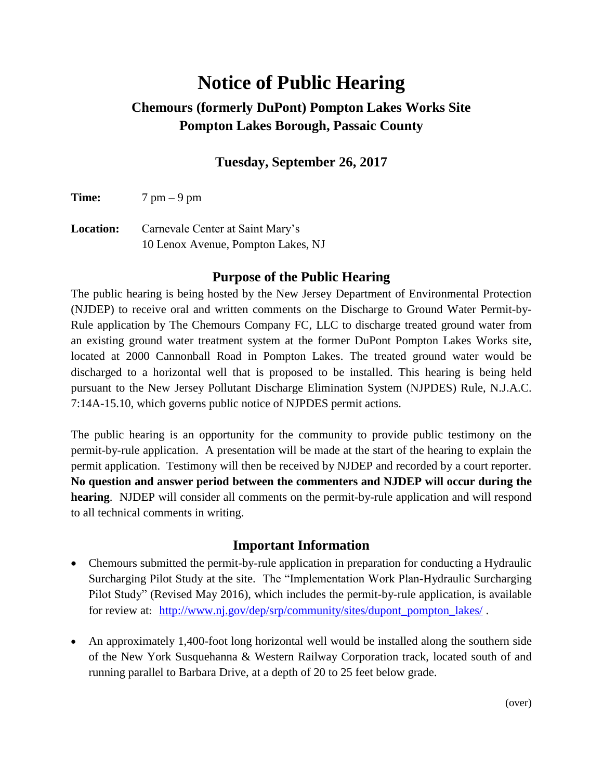# **Notice of Public Hearing**

# **Chemours (formerly DuPont) Pompton Lakes Works Site Pompton Lakes Borough, Passaic County**

## **Tuesday, September 26, 2017**

**Time:** 7 pm – 9 pm

**Location:** Carnevale Center at Saint Mary's 10 Lenox Avenue, Pompton Lakes, NJ

#### **Purpose of the Public Hearing**

The public hearing is being hosted by the New Jersey Department of Environmental Protection (NJDEP) to receive oral and written comments on the Discharge to Ground Water Permit-by-Rule application by The Chemours Company FC, LLC to discharge treated ground water from an existing ground water treatment system at the former DuPont Pompton Lakes Works site, located at 2000 Cannonball Road in Pompton Lakes. The treated ground water would be discharged to a horizontal well that is proposed to be installed. This hearing is being held pursuant to the New Jersey Pollutant Discharge Elimination System (NJPDES) Rule, N.J.A.C. 7:14A-15.10, which governs public notice of NJPDES permit actions.

The public hearing is an opportunity for the community to provide public testimony on the permit-by-rule application. A presentation will be made at the start of the hearing to explain the permit application. Testimony will then be received by NJDEP and recorded by a court reporter. **No question and answer period between the commenters and NJDEP will occur during the hearing**. NJDEP will consider all comments on the permit-by-rule application and will respond to all technical comments in writing.

#### **Important Information**

- Chemours submitted the permit-by-rule application in preparation for conducting a Hydraulic Surcharging Pilot Study at the site. The "Implementation Work Plan-Hydraulic Surcharging Pilot Study" (Revised May 2016), which includes the permit-by-rule application, is available for review at: [http://www.nj.gov/dep/srp/community/sites/dupont\\_pompton\\_lakes/](http://www.nj.gov/dep/srp/community/sites/dupont_pompton_lakes/) .
- An approximately 1,400-foot long horizontal well would be installed along the southern side of the New York Susquehanna & Western Railway Corporation track, located south of and running parallel to Barbara Drive, at a depth of 20 to 25 feet below grade.